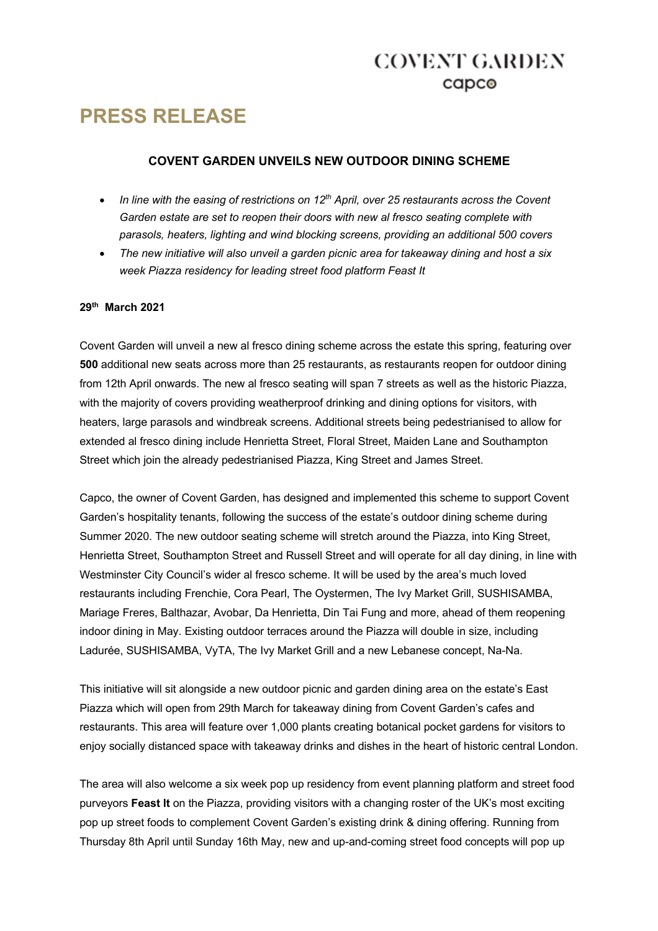# **PRESS RELEASE**

### **COVENT GARDEN UNVEILS NEW OUTDOOR DINING SCHEME**

- In line with the easing of restrictions on 12<sup>th</sup> April, over 25 restaurants across the Covent *Garden estate are set to reopen their doors with new al fresco seating complete with parasols, heaters, lighting and wind blocking screens, providing an additional 500 covers*
- *The new initiative will also unveil a garden picnic area for takeaway dining and host a six week Piazza residency for leading street food platform Feast It*

#### **29th March 2021**

Covent Garden will unveil a new al fresco dining scheme across the estate this spring, featuring over **500** additional new seats across more than 25 restaurants, as restaurants reopen for outdoor dining from 12th April onwards. The new al fresco seating will span 7 streets as well as the historic Piazza, with the majority of covers providing weatherproof drinking and dining options for visitors, with heaters, large parasols and windbreak screens. Additional streets being pedestrianised to allow for extended al fresco dining include Henrietta Street, Floral Street, Maiden Lane and Southampton Street which join the already pedestrianised Piazza, King Street and James Street.

Capco, the owner of Covent Garden, has designed and implemented this scheme to support Covent Garden's hospitality tenants, following the success of the estate's outdoor dining scheme during Summer 2020. The new outdoor seating scheme will stretch around the Piazza, into King Street, Henrietta Street, Southampton Street and Russell Street and will operate for all day dining, in line with Westminster City Council's wider al fresco scheme. It will be used by the area's much loved restaurants including Frenchie, Cora Pearl, The Oystermen, The Ivy Market Grill, SUSHISAMBA, Mariage Freres, Balthazar, Avobar, Da Henrietta, Din Tai Fung and more, ahead of them reopening indoor dining in May. Existing outdoor terraces around the Piazza will double in size, including Ladurée, SUSHISAMBA, VyTA, The Ivy Market Grill and a new Lebanese concept, Na-Na.

This initiative will sit alongside a new outdoor picnic and garden dining area on the estate's East Piazza which will open from 29th March for takeaway dining from Covent Garden's cafes and restaurants. This area will feature over 1,000 plants creating botanical pocket gardens for visitors to enjoy socially distanced space with takeaway drinks and dishes in the heart of historic central London.

The area will also welcome a six week pop up residency from event planning platform and street food purveyors **Feast It** on the Piazza, providing visitors with a changing roster of the UK's most exciting pop up street foods to complement Covent Garden's existing drink & dining offering. Running from Thursday 8th April until Sunday 16th May, new and up-and-coming street food concepts will pop up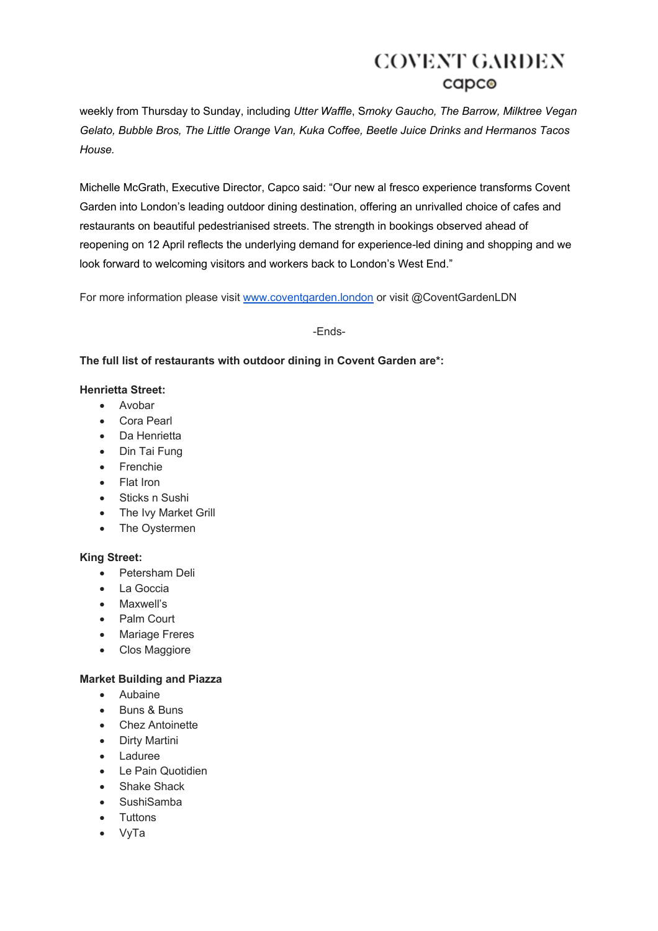weekly from Thursday to Sunday, including *Utter Waffle*, S*moky Gaucho, The Barrow, Milktree Vegan Gelato, Bubble Bros, The Little Orange Van, Kuka Coffee, Beetle Juice Drinks and Hermanos Tacos House.*

Michelle McGrath, Executive Director, Capco said: "Our new al fresco experience transforms Covent Garden into London's leading outdoor dining destination, offering an unrivalled choice of cafes and restaurants on beautiful pedestrianised streets. The strength in bookings observed ahead of reopening on 12 April reflects the underlying demand for experience-led dining and shopping and we look forward to welcoming visitors and workers back to London's West End."

For more information please visit www.coventgarden.london or visit @CoventGardenLDN

-Ends-

### **The full list of restaurants with outdoor dining in Covent Garden are\*:**

#### **Henrietta Street:**

- Avobar
- Cora Pearl
- Da Henrietta
- Din Tai Fung
- Frenchie
- Flat Iron
- Sticks n Sushi
- The Ivy Market Grill
- The Oystermen

#### **King Street:**

- Petersham Deli
- La Goccia
- Maxwell's
- Palm Court
- Mariage Freres
- Clos Maggiore

#### **Market Building and Piazza**

- Aubaine
- Buns & Buns
- Chez Antoinette
- Dirty Martini
- Laduree
- Le Pain Quotidien
- Shake Shack
- SushiSamba
- Tuttons
- VyTa